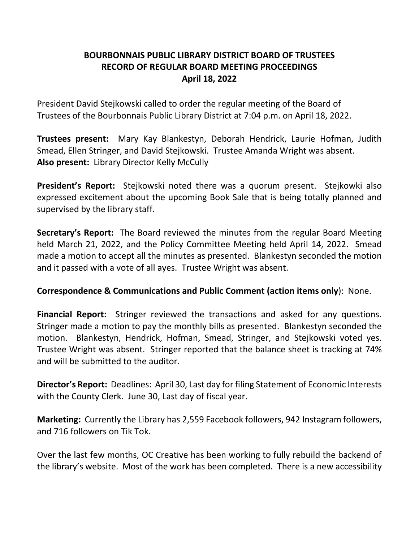# **BOURBONNAIS PUBLIC LIBRARY DISTRICT BOARD OF TRUSTEES RECORD OF REGULAR BOARD MEETING PROCEEDINGS April 18, 2022**

President David Stejkowski called to order the regular meeting of the Board of Trustees of the Bourbonnais Public Library District at 7:04 p.m. on April 18, 2022.

**Trustees present:** Mary Kay Blankestyn, Deborah Hendrick, Laurie Hofman, Judith Smead, Ellen Stringer, and David Stejkowski. Trustee Amanda Wright was absent. **Also present:** Library Director Kelly McCully

**President's Report:** Stejkowski noted there was a quorum present. Stejkowki also expressed excitement about the upcoming Book Sale that is being totally planned and supervised by the library staff.

**Secretary's Report:** The Board reviewed the minutes from the regular Board Meeting held March 21, 2022, and the Policy Committee Meeting held April 14, 2022. Smead made a motion to accept all the minutes as presented. Blankestyn seconded the motion and it passed with a vote of all ayes. Trustee Wright was absent.

## **Correspondence & Communications and Public Comment (action items only**): None.

**Financial Report:** Stringer reviewed the transactions and asked for any questions. Stringer made a motion to pay the monthly bills as presented. Blankestyn seconded the motion. Blankestyn, Hendrick, Hofman, Smead, Stringer, and Stejkowski voted yes. Trustee Wright was absent. Stringer reported that the balance sheet is tracking at 74% and will be submitted to the auditor.

**Director's Report:** Deadlines: April 30, Last day for filing Statement of Economic Interests with the County Clerk. June 30, Last day of fiscal year.

**Marketing:** Currently the Library has 2,559 Facebook followers, 942 Instagram followers, and 716 followers on Tik Tok.

Over the last few months, OC Creative has been working to fully rebuild the backend of the library's website. Most of the work has been completed. There is a new accessibility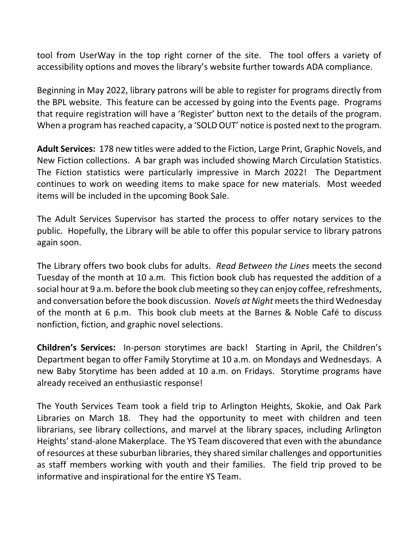tool from UserWay in the top right corner of the site. The tool offers a variety of accessibility options and moves the library's website further towards ADA compliance.

Beginning in May 2022, library patrons will be able to register for programs directly from the BPL website. This feature can be accessed by going into the Events page. Programs that require registration will have a 'Register' button next to the details of the program. When a program has reached capacity, a 'SOLD OUT' notice is posted next to the program.

**Adult Services:** 178 new titles were added to the Fiction, Large Print, Graphic Novels, and New Fiction collections. A bar graph was included showing March Circulation Statistics. The Fiction statistics were particularly impressive in March 2022! The Department continues to work on weeding items to make space for new materials. Most weeded items will be included in the upcoming Book Sale.

The Adult Services Supervisor has started the process to offer notary services to the public. Hopefully, the Library will be able to offer this popular service to library patrons again soon.

The Library offers two book clubs for adults. *Read Between the Lines* meets the second Tuesday of the month at 10 a.m. This fiction book club has requested the addition of a social hour at 9 a.m. before the book club meeting so they can enjoy coffee, refreshments, and conversation before the book discussion. Novels at Night meets the third Wednesday of the month at 6 p.m. This book club meets at the Barnes & Noble Café to discuss nonfiction, fiction, and graphic novel selections.

**Children's Services:** In-person storytimes are back! Starting in April, the Children's Department began to offer Family Storytime at 10 a.m. on Mondays and Wednesdays. A new Baby Storytime has been added at 10 a.m. on Fridays. Storytime programs have already received an enthusiastic response!

The Youth Services Team took a field trip to Arlington Heights, Skokie, and Oak Park Libraries on March 18. They had the opportunity to meet with children and teen librarians, see library collections, and marvel at the library spaces, including Arlington Heights' stand-alone Makerplace. The YS Team discovered that even with the abundance of resources at these suburban libraries, they shared similar challenges and opportunities as staff members working with youth and their families. The field trip proved to be informative and inspirational for the entire YS Team.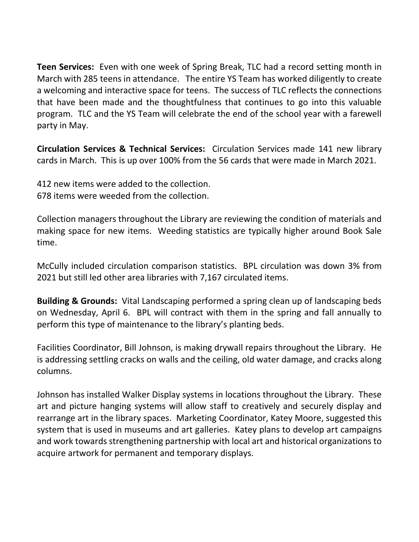**Teen Services:** Even with one week of Spring Break, TLC had a record setting month in March with 285 teens in attendance. The entire YS Team has worked diligently to create a welcoming and interactive space for teens. The success of TLC reflects the connections that have been made and the thoughtfulness that continues to go into this valuable program. TLC and the YS Team will celebrate the end of the school year with a farewell party in May.

**Circulation Services & Technical Services:** Circulation Services made 141 new library cards in March. This is up over 100% from the 56 cards that were made in March 2021.

412 new items were added to the collection. 678 items were weeded from the collection.

Collection managers throughout the Library are reviewing the condition of materials and making space for new items. Weeding statistics are typically higher around Book Sale time.

McCully included circulation comparison statistics. BPL circulation was down 3% from 2021 but still led other area libraries with 7,167 circulated items.

**Building & Grounds:** Vital Landscaping performed a spring clean up of landscaping beds on Wednesday, April 6. BPL will contract with them in the spring and fall annually to perform this type of maintenance to the library's planting beds.

Facilities Coordinator, Bill Johnson, is making drywall repairs throughout the Library. He is addressing settling cracks on walls and the ceiling, old water damage, and cracks along columns.

Johnson has installed Walker Display systems in locations throughout the Library. These art and picture hanging systems will allow staff to creatively and securely display and rearrange art in the library spaces. Marketing Coordinator, Katey Moore, suggested this system that is used in museums and art galleries. Katey plans to develop art campaigns and work towards strengthening partnership with local art and historical organizations to acquire artwork for permanent and temporary displays.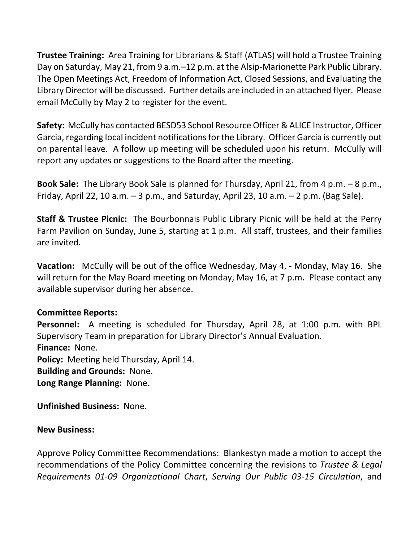**Trustee Training:** Area Training for Librarians & Staff (ATLAS) will hold a Trustee Training Day on Saturday, May 21, from 9 a.m.–12 p.m. at the Alsip-Marionette Park Public Library. The Open Meetings Act, Freedom of Information Act, Closed Sessions, and Evaluating the Library Director will be discussed. Further details are included in an attached flyer. Please email McCully by May 2 to register for the event.

**Safety:** McCully has contacted BESD53 School Resource Officer & ALICE Instructor, Officer Garcia, regarding local incident notifications for the Library. Officer Garcia is currently out on parental leave. A follow up meeting will be scheduled upon his return. McCully will report any updates or suggestions to the Board after the meeting.

**Book Sale:** The Library Book Sale is planned for Thursday, April 21, from 4 p.m. – 8 p.m., Friday, April 22, 10 a.m. – 3 p.m., and Saturday, April 23, 10 a.m. – 2 p.m. (Bag Sale).

**Staff & Trustee Picnic:** The Bourbonnais Public Library Picnic will be held at the Perry Farm Pavilion on Sunday, June 5, starting at 1 p.m. All staff, trustees, and their families are invited.

**Vacation:** McCully will be out of the office Wednesday, May 4, - Monday, May 16. She will return for the May Board meeting on Monday, May 16, at 7 p.m. Please contact any available supervisor during her absence.

## **Committee Reports:**

**Personnel:** A meeting is scheduled for Thursday, April 28, at 1:00 p.m. with BPL Supervisory Team in preparation for Library Director's Annual Evaluation. **Finance:** None. **Policy:** Meeting held Thursday, April 14. **Building and Grounds:** None. **Long Range Planning:** None.

**Unfinished Business:** None.

## **New Business:**

Approve Policy Committee Recommendations: Blankestyn made a motion to accept the recommendations of the Policy Committee concerning the revisions to *Trustee & Legal Requirements 01-09 Organizational Chart*, *Serving Our Public 03-15 Circulation*, and